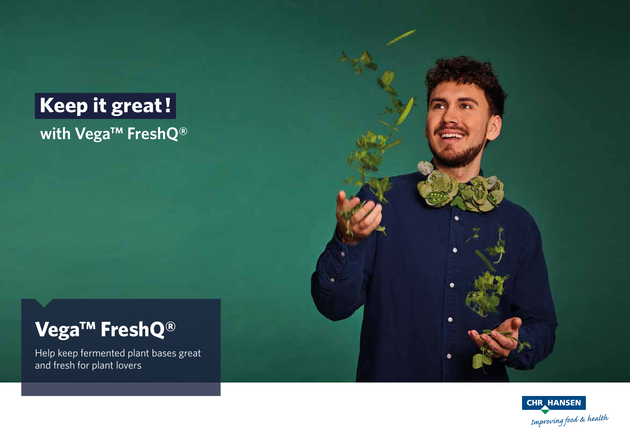# **Keep it great! with Vega™ FreshQ®**

## **Vega™ FreshQ®**

Help keep fermented plant bases great and fresh for plant lovers